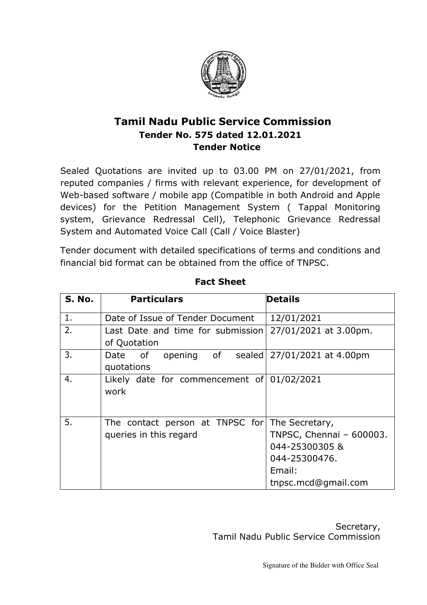

## **Tamil Nadu Public Service Commission Tender No. 575 dated 12.01.2021 Tender Notice**

Sealed Quotations are invited up to 03.00 PM on 27/01/2021, from reputed companies / firms with relevant experience, for development of Web-based software / mobile app (Compatible in both Android and Apple devices) for the Petition Management System ( Tappal Monitoring system, Grievance Redressal Cell), Telephonic Grievance Redressal System and Automated Voice Call (Call / Voice Blaster)

Tender document with detailed specifications of terms and conditions and financial bid format can be obtained from the office of TNPSC.

| S. No. | <b>Particulars</b>                                                       | Details                                                                                      |
|--------|--------------------------------------------------------------------------|----------------------------------------------------------------------------------------------|
| 1.     | Date of Issue of Tender Document                                         | 12/01/2021                                                                                   |
| 2.     | Last Date and time for submission<br>of Quotation                        | 27/01/2021 at 3.00pm.                                                                        |
| 3.     | opening of<br>Date of<br>quotations                                      | sealed   27/01/2021 at 4.00pm                                                                |
| 4.     | Likely date for commencement of $01/02/2021$<br>work                     |                                                                                              |
| 5.     | The contact person at TNPSC for The Secretary,<br>queries in this regard | TNPSC, Chennai - 600003.<br>044-25300305 &<br>044-25300476.<br>Email:<br>tnpsc.mcd@gmail.com |

**Fact Sheet** 

Secretary, Tamil Nadu Public Service Commission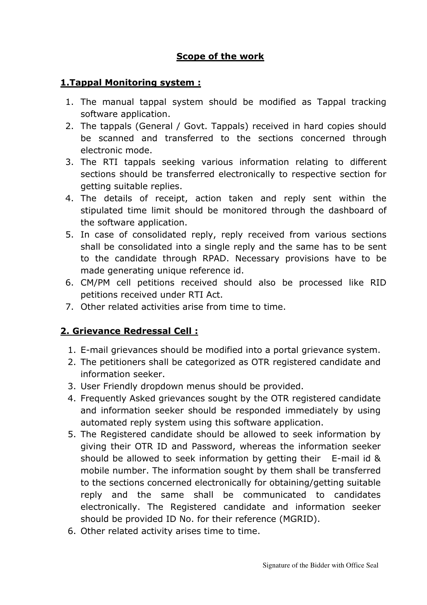## **Scope of the work**

#### **1.Tappal Monitoring system :**

- 1. The manual tappal system should be modified as Tappal tracking software application.
- 2. The tappals (General / Govt. Tappals) received in hard copies should be scanned and transferred to the sections concerned through electronic mode.
- 3. The RTI tappals seeking various information relating to different sections should be transferred electronically to respective section for getting suitable replies.
- 4. The details of receipt, action taken and reply sent within the stipulated time limit should be monitored through the dashboard of the software application.
- 5. In case of consolidated reply, reply received from various sections shall be consolidated into a single reply and the same has to be sent to the candidate through RPAD. Necessary provisions have to be made generating unique reference id.
- 6. CM/PM cell petitions received should also be processed like RID petitions received under RTI Act.
- 7. Other related activities arise from time to time.

#### **2. Grievance Redressal Cell :**

- 1. E-mail grievances should be modified into a portal grievance system.
- 2. The petitioners shall be categorized as OTR registered candidate and information seeker.
- 3. User Friendly dropdown menus should be provided.
- 4. Frequently Asked grievances sought by the OTR registered candidate and information seeker should be responded immediately by using automated reply system using this software application.
- 5. The Registered candidate should be allowed to seek information by giving their OTR ID and Password, whereas the information seeker should be allowed to seek information by getting their E-mail id & mobile number. The information sought by them shall be transferred to the sections concerned electronically for obtaining/getting suitable reply and the same shall be communicated to candidates electronically. The Registered candidate and information seeker should be provided ID No. for their reference (MGRID).
- 6. Other related activity arises time to time.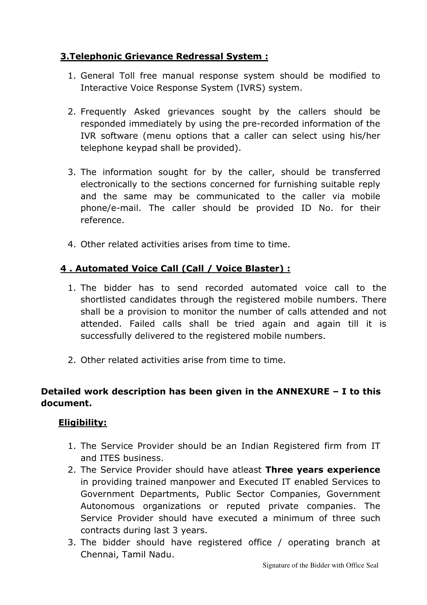## **3.Telephonic Grievance Redressal System :**

- 1. General Toll free manual response system should be modified to Interactive Voice Response System (IVRS) system.
- 2. Frequently Asked grievances sought by the callers should be responded immediately by using the pre-recorded information of the IVR software (menu options that a caller can select using his/her telephone keypad shall be provided).
- 3. The information sought for by the caller, should be transferred electronically to the sections concerned for furnishing suitable reply and the same may be communicated to the caller via mobile phone/e-mail. The caller should be provided ID No. for their reference.
- 4. Other related activities arises from time to time.

## **4 . Automated Voice Call (Call / Voice Blaster) :**

- 1. The bidder has to send recorded automated voice call to the shortlisted candidates through the registered mobile numbers. There shall be a provision to monitor the number of calls attended and not attended. Failed calls shall be tried again and again till it is successfully delivered to the registered mobile numbers.
- 2. Other related activities arise from time to time.

## **Detailed work description has been given in the ANNEXURE – I to this document.**

#### **Eligibility:**

- 1. The Service Provider should be an Indian Registered firm from IT and ITES business.
- 2. The Service Provider should have atleast **Three years experience** in providing trained manpower and Executed IT enabled Services to Government Departments, Public Sector Companies, Government Autonomous organizations or reputed private companies. The Service Provider should have executed a minimum of three such contracts during last 3 years.
- 3. The bidder should have registered office / operating branch at Chennai, Tamil Nadu.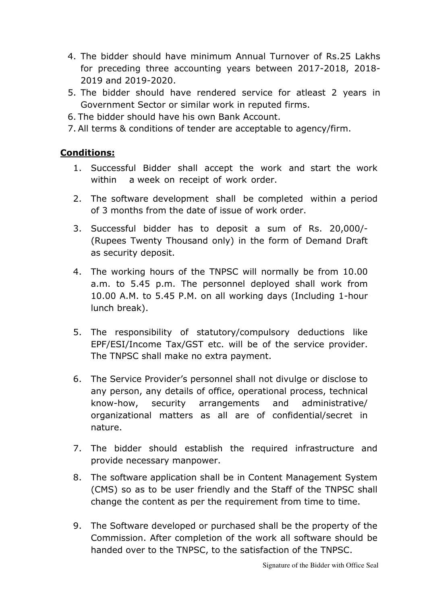- 4. The bidder should have minimum Annual Turnover of Rs.25 Lakhs for preceding three accounting years between 2017-2018, 2018- 2019 and 2019-2020.
- 5. The bidder should have rendered service for atleast 2 years in Government Sector or similar work in reputed firms.
- 6. The bidder should have his own Bank Account.
- 7. All terms & conditions of tender are acceptable to agency/firm.

#### **Conditions:**

- 1. Successful Bidder shall accept the work and start the work within a week on receipt of work order.
- 2. The software development shall be completed within a period of 3 months from the date of issue of work order.
- 3. Successful bidder has to deposit a sum of Rs. 20,000/- (Rupees Twenty Thousand only) in the form of Demand Draft as security deposit.
- 4. The working hours of the TNPSC will normally be from 10.00 a.m. to 5.45 p.m. The personnel deployed shall work from 10.00 A.M. to 5.45 P.M. on all working days (Including 1-hour lunch break).
- 5. The responsibility of statutory/compulsory deductions like EPF/ESI/Income Tax/GST etc. will be of the service provider. The TNPSC shall make no extra payment.
- 6. The Service Provider's personnel shall not divulge or disclose to any person, any details of office, operational process, technical know-how, security arrangements and administrative/ organizational matters as all are of confidential/secret in nature.
- 7. The bidder should establish the required infrastructure and provide necessary manpower.
- 8. The software application shall be in Content Management System (CMS) so as to be user friendly and the Staff of the TNPSC shall change the content as per the requirement from time to time.
- 9. The Software developed or purchased shall be the property of the Commission. After completion of the work all software should be handed over to the TNPSC, to the satisfaction of the TNPSC.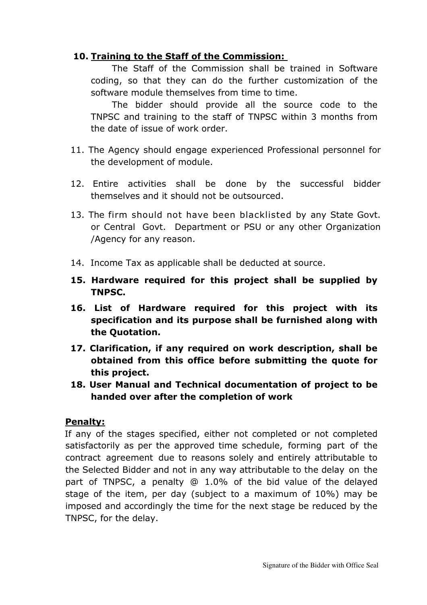#### **10. Training to the Staff of the Commission:**

 The Staff of the Commission shall be trained in Software coding, so that they can do the further customization of the software module themselves from time to time.

 The bidder should provide all the source code to the TNPSC and training to the staff of TNPSC within 3 months from the date of issue of work order.

- 11. The Agency should engage experienced Professional personnel for the development of module.
- 12. Entire activities shall be done by the successful bidder themselves and it should not be outsourced.
- 13. The firm should not have been blacklisted by any State Govt. or Central Govt. Department or PSU or any other Organization /Agency for any reason.
- 14. Income Tax as applicable shall be deducted at source.
- **15. Hardware required for this project shall be supplied by TNPSC.**
- **16. List of Hardware required for this project with its specification and its purpose shall be furnished along with the Quotation.**
- **17. Clarification, if any required on work description, shall be obtained from this office before submitting the quote for this project.**
- **18. User Manual and Technical documentation of project to be handed over after the completion of work**

#### **Penalty:**

 If any of the stages specified, either not completed or not completed satisfactorily as per the approved time schedule, forming part of the contract agreement due to reasons solely and entirely attributable to the Selected Bidder and not in any way attributable to the delay on the part of TNPSC, a penalty @ 1.0% of the bid value of the delayed stage of the item, per day (subject to a maximum of 10%) may be imposed and accordingly the time for the next stage be reduced by the TNPSC, for the delay.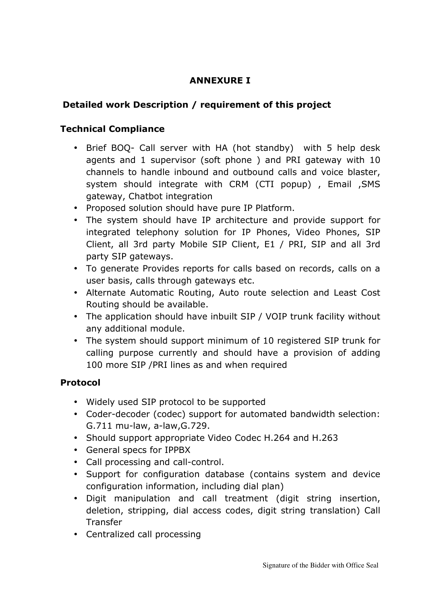## **ANNEXURE I**

## **Detailed work Description / requirement of this project**

## **Technical Compliance**

- Brief BOQ- Call server with HA (hot standby) with 5 help desk agents and 1 supervisor (soft phone ) and PRI gateway with 10 channels to handle inbound and outbound calls and voice blaster, system should integrate with CRM (CTI popup) , Email ,SMS gateway, Chatbot integration
- Proposed solution should have pure IP Platform.
- The system should have IP architecture and provide support for integrated telephony solution for IP Phones, Video Phones, SIP Client, all 3rd party Mobile SIP Client, E1 / PRI, SIP and all 3rd party SIP gateways.
- To generate Provides reports for calls based on records, calls on a user basis, calls through gateways etc.
- Alternate Automatic Routing, Auto route selection and Least Cost Routing should be available.
- The application should have inbuilt SIP / VOIP trunk facility without any additional module.
- The system should support minimum of 10 registered SIP trunk for calling purpose currently and should have a provision of adding 100 more SIP /PRI lines as and when required

## **Protocol**

- Widely used SIP protocol to be supported
- Coder-decoder (codec) support for automated bandwidth selection: G.711 mu-law, a-law,G.729.
- Should support appropriate Video Codec H.264 and H.263
- General specs for IPPBX
- Call processing and call-control.
- Support for configuration database (contains system and device configuration information, including dial plan)
- Digit manipulation and call treatment (digit string insertion, deletion, stripping, dial access codes, digit string translation) Call Transfer
- Centralized call processing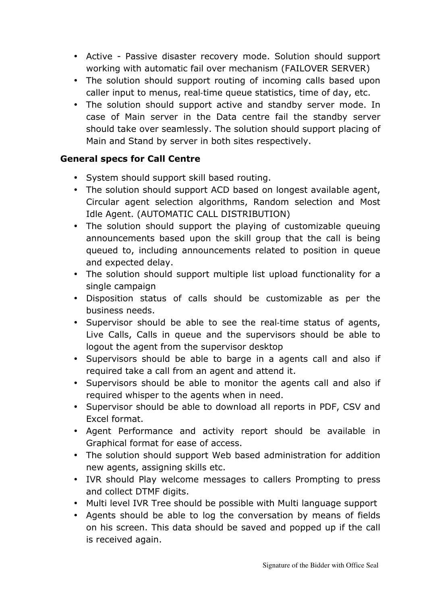- Active Passive disaster recovery mode. Solution should support working with automatic fail over mechanism (FAILOVER SERVER)
- The solution should support routing of incoming calls based upon caller input to menus, real-time queue statistics, time of day, etc.
- The solution should support active and standby server mode. In case of Main server in the Data centre fail the standby server should take over seamlessly. The solution should support placing of Main and Stand by server in both sites respectively.

#### **General specs for Call Centre**

- System should support skill based routing.
- The solution should support ACD based on longest available agent, Circular agent selection algorithms, Random selection and Most Idle Agent. (AUTOMATIC CALL DISTRIBUTION)
- The solution should support the playing of customizable queuing announcements based upon the skill group that the call is being queued to, including announcements related to position in queue and expected delay.
- The solution should support multiple list upload functionality for a single campaign
- Disposition status of calls should be customizable as per the business needs.
- Supervisor should be able to see the real-time status of agents, Live Calls, Calls in queue and the supervisors should be able to logout the agent from the supervisor desktop
- Supervisors should be able to barge in a agents call and also if required take a call from an agent and attend it.
- Supervisors should be able to monitor the agents call and also if required whisper to the agents when in need.
- Supervisor should be able to download all reports in PDF, CSV and Excel format.
- Agent Performance and activity report should be available in Graphical format for ease of access.
- The solution should support Web based administration for addition new agents, assigning skills etc.
- IVR should Play welcome messages to callers Prompting to press and collect DTMF digits.
- Multi level IVR Tree should be possible with Multi language support
- Agents should be able to log the conversation by means of fields on his screen. This data should be saved and popped up if the call is received again.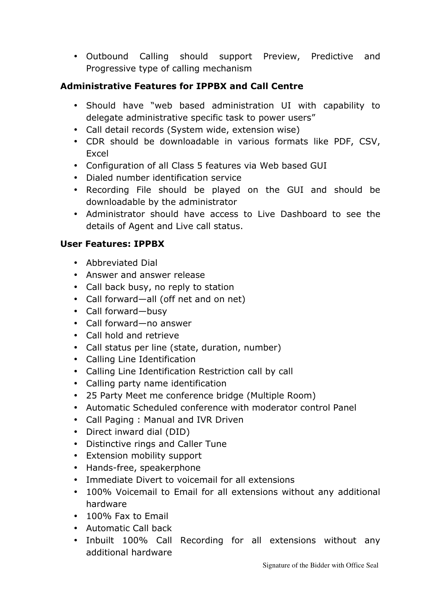• Outbound Calling should support Preview, Predictive and Progressive type of calling mechanism

## **Administrative Features for IPPBX and Call Centre**

- Should have "web based administration UI with capability to delegate administrative specific task to power users"
- Call detail records (System wide, extension wise)
- CDR should be downloadable in various formats like PDF, CSV, Excel
- Configuration of all Class 5 features via Web based GUI
- Dialed number identification service
- Recording File should be played on the GUI and should be downloadable by the administrator
- Administrator should have access to Live Dashboard to see the details of Agent and Live call status.

## **User Features: IPPBX**

- Abbreviated Dial
- Answer and answer release
- Call back busy, no reply to station
- Call forward—all (off net and on net)
- Call forward—busy
- Call forward—no answer
- Call hold and retrieve
- Call status per line (state, duration, number)
- Calling Line Identification
- Calling Line Identification Restriction call by call
- Calling party name identification
- 25 Party Meet me conference bridge (Multiple Room)
- Automatic Scheduled conference with moderator control Panel
- Call Paging : Manual and IVR Driven
- Direct inward dial (DID)
- Distinctive rings and Caller Tune
- Extension mobility support
- Hands-free, speakerphone
- Immediate Divert to voicemail for all extensions
- 100% Voicemail to Email for all extensions without any additional hardware
- 100% Fax to Fmail
- Automatic Call back
- Inbuilt 100% Call Recording for all extensions without any additional hardware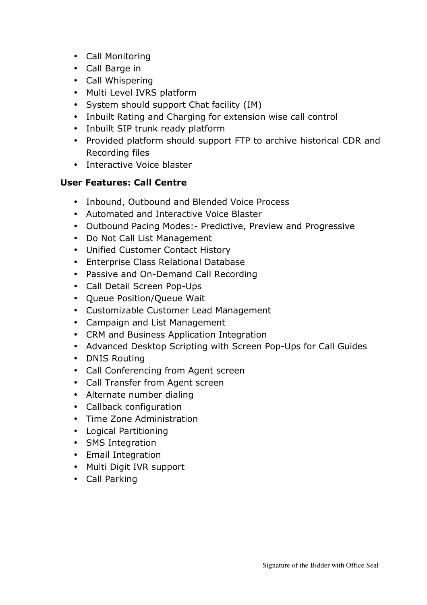- Call Monitoring
- Call Barge in
- Call Whispering
- Multi Level IVRS platform
- System should support Chat facility (IM)
- Inbuilt Rating and Charging for extension wise call control
- Inbuilt SIP trunk ready platform
- Provided platform should support FTP to archive historical CDR and Recording files
- Interactive Voice blaster

## **User Features: Call Centre**

- Inbound, Outbound and Blended Voice Process
- Automated and Interactive Voice Blaster
- Outbound Pacing Modes:- Predictive, Preview and Progressive
- Do Not Call List Management
- Unified Customer Contact History
- Enterprise Class Relational Database
- Passive and On-Demand Call Recording
- Call Detail Screen Pop-Ups
- Queue Position/Queue Wait
- Customizable Customer Lead Management
- Campaign and List Management
- CRM and Business Application Integration
- Advanced Desktop Scripting with Screen Pop-Ups for Call Guides
- DNIS Routing
- Call Conferencing from Agent screen
- Call Transfer from Agent screen
- Alternate number dialing
- Callback configuration
- Time Zone Administration
- Logical Partitioning
- SMS Integration
- Email Integration
- Multi Digit IVR support
- Call Parking